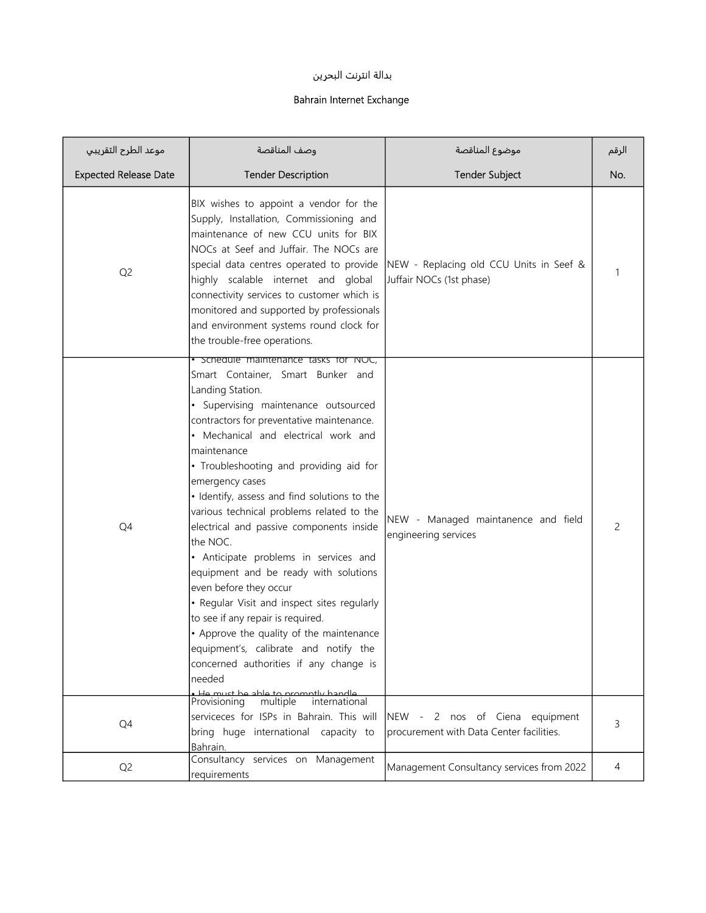## بدالة انترنت البحرين

## Bahrain Internet Exchange

| موعد الطرح التقريبي          | وصف المناقصة                                                                                                                                                                                                                                                                                                                                                                                                                                                                                                                                                                                                                                                                                                                                                                                           | موضوع المناقصة                                                             | الرقم |
|------------------------------|--------------------------------------------------------------------------------------------------------------------------------------------------------------------------------------------------------------------------------------------------------------------------------------------------------------------------------------------------------------------------------------------------------------------------------------------------------------------------------------------------------------------------------------------------------------------------------------------------------------------------------------------------------------------------------------------------------------------------------------------------------------------------------------------------------|----------------------------------------------------------------------------|-------|
| <b>Expected Release Date</b> | <b>Tender Description</b>                                                                                                                                                                                                                                                                                                                                                                                                                                                                                                                                                                                                                                                                                                                                                                              | <b>Tender Subject</b>                                                      | No.   |
| Q <sub>2</sub>               | BIX wishes to appoint a vendor for the<br>Supply, Installation, Commissioning and<br>maintenance of new CCU units for BIX<br>NOCs at Seef and Juffair. The NOCs are<br>special data centres operated to provide<br>highly scalable internet and global<br>connectivity services to customer which is<br>monitored and supported by professionals<br>and environment systems round clock for<br>the trouble-free operations.                                                                                                                                                                                                                                                                                                                                                                            | NEW - Replacing old CCU Units in Seef &<br>Juffair NOCs (1st phase)        |       |
| Q4                           | • Schedule maintenance tasks for NOC,<br>Smart Container, Smart Bunker and<br>Landing Station.<br>· Supervising maintenance outsourced<br>contractors for preventative maintenance.<br>• Mechanical and electrical work and<br>maintenance<br>• Troubleshooting and providing aid for<br>emergency cases<br>· Identify, assess and find solutions to the<br>various technical problems related to the<br>electrical and passive components inside<br>the NOC.<br>• Anticipate problems in services and<br>equipment and be ready with solutions<br>even before they occur<br>• Regular Visit and inspect sites regularly<br>to see if any repair is required.<br>• Approve the quality of the maintenance<br>equipment's, calibrate and notify the<br>concerned authorities if any change is<br>needed | NEW - Managed maintanence and field<br>engineering services                | 2     |
| Q4                           | . He must he able to promptly handle<br>Provisioning<br>multiple<br>international<br>serviceces for ISPs in Bahrain. This will<br>bring huge international capacity to<br>Bahrain.                                                                                                                                                                                                                                                                                                                                                                                                                                                                                                                                                                                                                     | NEW - 2 nos of Ciena equipment<br>procurement with Data Center facilities. | 3     |
| Q <sub>2</sub>               | Consultancy services on Management<br>requirements                                                                                                                                                                                                                                                                                                                                                                                                                                                                                                                                                                                                                                                                                                                                                     | Management Consultancy services from 2022                                  | 4     |